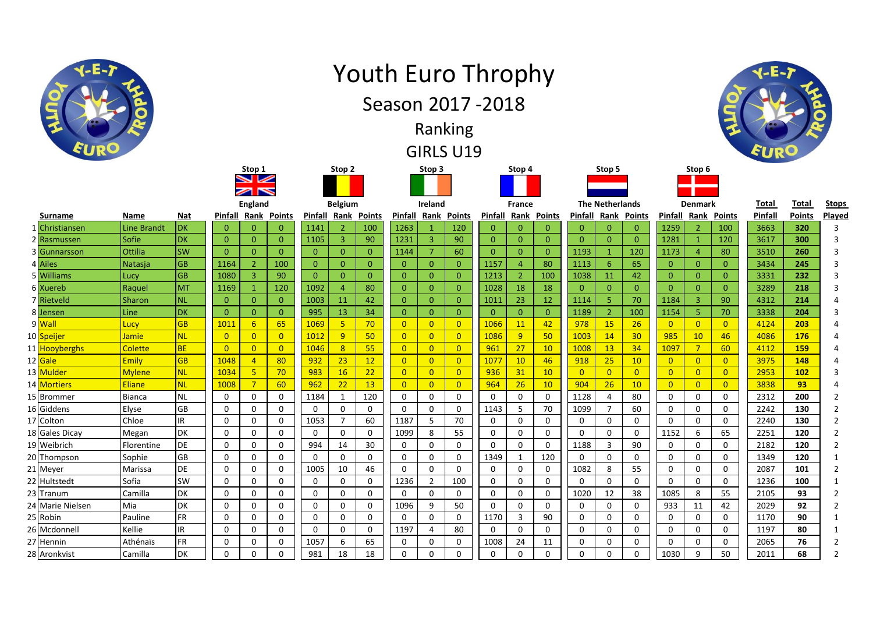|   |                     |               |           |                |                                                             |                |                |                   |                | <b>Youth Euro Throphy</b><br>Season 2017 - 2018 |                | Ranking<br><b>GIRLS U19</b> |                |                |                 |                |                        |                 |                |                |                |              |               |                |
|---|---------------------|---------------|-----------|----------------|-------------------------------------------------------------|----------------|----------------|-------------------|----------------|-------------------------------------------------|----------------|-----------------------------|----------------|----------------|-----------------|----------------|------------------------|-----------------|----------------|----------------|----------------|--------------|---------------|----------------|
|   |                     |               |           |                | Stop 1<br>$\blacktriangleright$<br>$\overline{\phantom{0}}$ |                |                | Stop <sub>2</sub> |                |                                                 | Stop 3         |                             |                | Stop 4         |                 |                | Stop 5                 |                 |                | Stop 6         |                |              |               |                |
|   |                     |               |           |                | <b>England</b>                                              |                |                | <b>Belgium</b>    |                |                                                 | Ireland        |                             |                | <b>France</b>  |                 |                | <b>The Netherlands</b> |                 |                | <b>Denmark</b> |                | <b>Total</b> | <b>Total</b>  | <b>Stops</b>   |
|   | <b>Surname</b>      | Name          | Nat       | Pinfall        | <u>Rank</u>                                                 | Points         | Pinfall        | Rank              | <b>Points</b>  | Pinfall                                         | Rank           | <b>Points</b>               | Pinfall        | Rank           | <b>Points</b>   | Pinfall        | Rank                   | <b>Points</b>   | Pinfall        | Rank           | <b>Points</b>  | Pinfall      | <b>Points</b> | Played         |
| 1 | Christiansen        | Line Brandt   | <b>DK</b> | $\mathbf{0}$   | $\mathbf{0}$                                                | $\mathbf{0}$   | 1141           | $\overline{2}$    | 100            | 1263                                            | -1             | 120                         | $\mathbf{0}$   | $\mathbf{0}$   | $\mathbf{0}$    | $\mathbf{0}$   | $\mathbf{0}$           | $\overline{0}$  | 1259           | $\overline{2}$ | 100            | 3663         | 320           | 3              |
|   | 2 Rasmussen         | Sofie         | DK        | $\mathbf{0}$   | $\overline{0}$                                              | $\overline{0}$ | 1105           | $\overline{3}$    | 90             | 1231                                            | 3              | 90                          | $\overline{0}$ | $\overline{0}$ | $\overline{0}$  | $\overline{0}$ | $\overline{0}$         | $\overline{0}$  | 1281           | $\mathbf{1}$   | 120            | 3617         | 300           | 3              |
|   | 3 Gunnarsson        | Ottilia       | <b>SW</b> | $\mathbf{0}$   | $\mathbf{0}$                                                | $\mathbf{0}$   | $\overline{0}$ | $\overline{0}$    | $\overline{0}$ | 1144                                            | $\overline{7}$ | 60                          | $\overline{0}$ | $\Omega$       | $\overline{0}$  | 1193           | $\mathbf{1}$           | 120             | 1173           | $\overline{4}$ | 80             | 3510         | 260           | 3              |
|   | 4 Ailes             | Natasja       | <b>GB</b> | 1164           | $\overline{2}$                                              | 100            | $\overline{0}$ | $\overline{0}$    | $\overline{0}$ | $\mathbf{0}$                                    | $\Omega$       | $\mathbf{0}$                | 1157           | $\overline{4}$ | 80              | 1113           | 6                      | 65              | $\mathbf{0}$   | $\Omega$       | $\overline{0}$ | 3434         | 245           | $\overline{3}$ |
|   | 5 Williams          | Lucy          | <b>GB</b> | 1080           | $\overline{3}$                                              | 90             | $\overline{0}$ | $\overline{0}$    | $\overline{0}$ | $\mathbf{0}$                                    | $\overline{0}$ | $\overline{0}$              | 1213           | $\overline{2}$ | 100             | 1038           | 11                     | 42              | $\overline{0}$ | $\overline{0}$ | $\overline{0}$ | 3331         | 232           | 3              |
|   | 6 Xuereb            | Raguel        | <b>MT</b> | 1169           | $\mathbf{1}$                                                | 120            | 1092           | $\overline{4}$    | 80             | $\mathbf{0}$                                    | $\Omega$       | $\mathbf{0}$                | 1028           | 18             | 18              | $\Omega$       | $\mathbf{0}$           | $\mathbf{0}$    | $\Omega$       | $\Omega$       | $\overline{0}$ | 3289         | 218           | 3              |
|   | 7 Rietveld          | <b>Sharon</b> | <b>NL</b> | $\mathbf{0}$   | $\overline{0}$                                              | $\overline{0}$ | 1003           | 11                | 42             | $\mathbf{0}$                                    | $\Omega$       | $\mathbf{0}$                | 1011           | 23             | 12              | 1114           | 5 <sup>1</sup>         | 70              | 1184           | $\overline{3}$ | 90             | 4312         | 214           | $\overline{4}$ |
|   | 8 Jensen            | Line          | DK        | $\mathbf{0}$   | $\mathbf{0}$                                                | $\mathbf{0}$   | 995            | 13                | 34             | $\mathbf{0}$                                    | $\mathbf{O}$   | $\mathbf{0}$                | $\overline{0}$ | $\overline{0}$ | $\overline{0}$  | 1189           | $\overline{2}$         | 100             | 1154           | 5 <sub>1</sub> | 70             | 3338         | 204           | $\overline{3}$ |
|   | 9 <mark>Wall</mark> | Lucy          | <b>GB</b> | 1011           | 6                                                           | 65             | 1069           | 5 <sup>1</sup>    | 70             | $\overline{0}$                                  | $\overline{0}$ | $\overline{0}$              | 1066           | 11             | 42              | 978            | 15                     | 26              | $\overline{0}$ | $\Omega$       | $\overline{0}$ | 4124         | 203           | $\overline{4}$ |
|   | 10 Speijer          | Jamie         | <b>NL</b> | $\overline{0}$ | $\overline{0}$                                              | $\overline{0}$ | 1012           | 9                 | 50             | $\overline{0}$                                  | $\overline{0}$ | $\overline{0}$              | 1086           | 9              | 50              | 1003           | 14                     | 30 <sub>o</sub> | 985            | 10             | 46             | 4086         | 176           | $\Delta$       |
|   | 11 Hooyberghs       | Colette       | <b>BE</b> | $\overline{0}$ | $\overline{0}$                                              | $\overline{0}$ | 1046           | 8                 | 55             | $\overline{0}$                                  | $\overline{0}$ | $\overline{0}$              | 961            | 27             | 10              | 1008           | 13                     | 34              | 1097           | $7^{\circ}$    | 60             | 4112         | 159           | $\overline{4}$ |
|   | 12 Gale             | Emily         | <b>GB</b> | 1048           | $\overline{4}$                                              | 80             | 932            | 23                | 12             | $\overline{0}$                                  | $\overline{0}$ | $\overline{0}$              | 1077           | 10             | 46              | 918            | 25                     | 10              | $\overline{0}$ | $\overline{0}$ | $\overline{0}$ | 3975         | 148           | $\overline{4}$ |
|   | 13 Mulder           | <b>Mylene</b> | <b>NL</b> | 1034           | $5\overline{5}$                                             | 70             | 983            | 16                | 22             | $\overline{0}$                                  | $\overline{0}$ | $\overline{0}$              | 936            | 31             | 10 <sup>°</sup> | $\Omega$       | $\Omega$               | $\overline{0}$  | $\overline{0}$ | $\overline{0}$ | $\overline{0}$ | 2953         | 102           | $\overline{3}$ |
|   | 14 Mortiers         | <b>Eliane</b> | <b>NL</b> | 1008           | $\overline{7}$                                              | 60             | 962            | 22                | 13             | $\overline{0}$                                  | $\overline{0}$ | $\overline{0}$              | 964            | 26             | 10              | 904            | 26                     | 10              | $\overline{0}$ | $\overline{0}$ | $\overline{0}$ | 3838         | 93            | $\overline{4}$ |
|   | 15 Brommer          | <b>Bianca</b> | <b>NL</b> | $\mathbf 0$    | $\mathbf 0$                                                 | $\mathbf 0$    | 1184           | $\mathbf{1}$      | 120            | $\mathbf 0$                                     | $\mathbf 0$    | $\mathbf 0$                 | $\mathbf 0$    | $\mathbf 0$    | $\mathbf 0$     | 1128           | $\overline{4}$         | 80              | 0              | $\mathbf 0$    | $\mathbf 0$    | 2312         | 200           | $\overline{2}$ |
|   | 16 Giddens          | Elvse         | GB        | $\mathbf{0}$   | 0                                                           | $\mathbf 0$    | $\Omega$       | $\mathbf 0$       | $\Omega$       | $\mathbf 0$                                     | $\Omega$       | $\mathbf{0}$                | 1143           | 5              | 70              | 1099           | $\overline{7}$         | 60              | 0              | $\mathbf 0$    | $\mathbf 0$    | 2242         | 130           | $\overline{2}$ |
|   | 17 Colton           | Chloe         | IR.       | $\mathbf 0$    | 0                                                           | $\mathbf 0$    | 1053           | $\overline{7}$    | 60             | 1187                                            | 5              | 70                          | $\Omega$       | $\mathbf 0$    | $\mathbf 0$     | $\Omega$       | $\mathbf{0}$           | $\Omega$        | $\Omega$       | $\mathbf 0$    | 0              | 2240         | 130           | $\overline{2}$ |
|   | 18 Gales Dicay      | Megan         | DK        | $\mathbf 0$    | $\mathbf 0$                                                 | $\mathbf 0$    | 0              | $\mathbf 0$       | $\mathbf 0$    | 1099                                            | 8              | 55                          | $\mathbf 0$    | $\mathbf 0$    | $\mathbf 0$     | $\mathbf 0$    | $\mathbf 0$            | $\mathbf 0$     | 1152           | 6              | 65             | 2251         | 120           | $\overline{2}$ |
|   | 19 Weibrich         | Florentine    | DE        | $\Omega$       | $\Omega$                                                    | $\Omega$       | 994            | 14                | 30             | $\Omega$                                        | $\Omega$       | $\mathbf{0}$                | $\Omega$       | $\mathbf{0}$   | $\Omega$        | 1188           | $\overline{3}$         | 90              | $\Omega$       | $\Omega$       | $\Omega$       | 2182         | 120           | $\overline{2}$ |
|   | 20 Thompson         | Sophie        | GB        | 0              | 0                                                           | $\mathbf 0$    | 0              | 0                 | 0              | 0                                               | 0              | 0                           | 1349           | 1              | 120             | 0              | $\mathbf 0$            | 0               | 0              | $\mathbf 0$    | 0              | 1349         | 120           | 1              |
|   | 21 Meyer            | Marissa       | DE        | $\mathbf 0$    | $\mathbf 0$                                                 | $\mathbf 0$    | 1005           | 10                | 46             | $\mathbf 0$                                     | $\Omega$       | $\mathbf 0$                 | $\mathbf 0$    | $\mathbf 0$    | $\mathbf 0$     | 1082           | 8                      | 55              | 0              | $\mathbf 0$    | 0              | 2087         | 101           | $\overline{2}$ |
|   | 22 Hultstedt        | Sofia         | SW        | $\mathbf 0$    | 0                                                           | $\mathbf 0$    | 0              | 0                 | 0              | 1236                                            | $\overline{2}$ | 100                         | 0              | $\mathbf 0$    | $\mathbf 0$     | $\Omega$       | $\Omega$               | 0               | $\Omega$       | $\mathbf 0$    | $\mathbf 0$    | 1236         | 100           | 1              |
|   | 23 Tranum           | Camilla       | DK        | $\mathbf 0$    | 0                                                           | $\mathbf 0$    | 0              | 0                 | $\mathbf 0$    | 0                                               | $\mathbf{0}$   | $\mathbf 0$                 | $\mathbf{0}$   | $\mathbf 0$    | $\mathbf 0$     | 1020           | 12                     | 38              | 1085           | 8              | 55             | 2105         | 93            | $\overline{2}$ |
|   | 24 Marie Nielsen    | Mia           | DK        | $\mathbf 0$    | $\mathbf 0$                                                 | $\mathbf 0$    | 0              | $\mathbf 0$       | $\mathbf 0$    | 1096                                            | 9              | 50                          | $\mathbf 0$    | $\mathbf 0$    | $\mathbf 0$     | $\mathbf 0$    | $\mathbf 0$            | $\mathbf 0$     | 933            | 11             | 42             | 2029         | 92            | $\overline{2}$ |
|   | 25 Robin            | Pauline       | <b>FR</b> | $\mathbf{0}$   | $\Omega$                                                    | 0              | $\mathbf{0}$   | 0                 | $\Omega$       | $\mathbf{0}$                                    | $\mathbf{0}$   | $\mathbf{0}$                | 1170           | $\overline{3}$ | 90              | $\Omega$       | $\mathbf{0}$           | $\Omega$        | $\Omega$       | $\Omega$       | 0              | 1170         | 90            | 1              |
|   | 26 Mcdonnell        | Kellie        | IR.       | $\mathbf{0}$   | 0                                                           | $\Omega$       | 0              | $\mathbf{0}$      | $\mathbf 0$    | 1197                                            | 4              | 80                          | $\Omega$       | $\mathbf 0$    | $\mathbf 0$     | $\Omega$       | $\Omega$               | 0               | $\Omega$       | $\mathbf 0$    | $\mathbf 0$    | 1197         | 80            | 1              |
|   | 27 Hennin           | Athénaïs      | <b>FR</b> | $\mathbf 0$    | 0                                                           | $\mathbf 0$    | 1057           | 6                 | 65             | $\mathbf 0$                                     | $\Omega$       | $\mathbf 0$                 | 1008           | 24             | 11              | $\mathbf 0$    | $\Omega$               | $\Omega$        | 0              | $\mathbf 0$    | $\mathbf 0$    | 2065         | 76            | $\overline{2}$ |
|   | 28 Aronkvist        | Camilla       | DK        | $\mathbf 0$    | $\mathbf 0$                                                 | $\mathbf 0$    | 981            | 18                | 18             | $\mathbf 0$                                     | $\Omega$       | $\mathbf 0$                 | 0              | $\mathbf 0$    | $\mathbf 0$     | 0              | 0                      | 0               | 1030           | 9              | 50             | 2011         | 68            | $\overline{2}$ |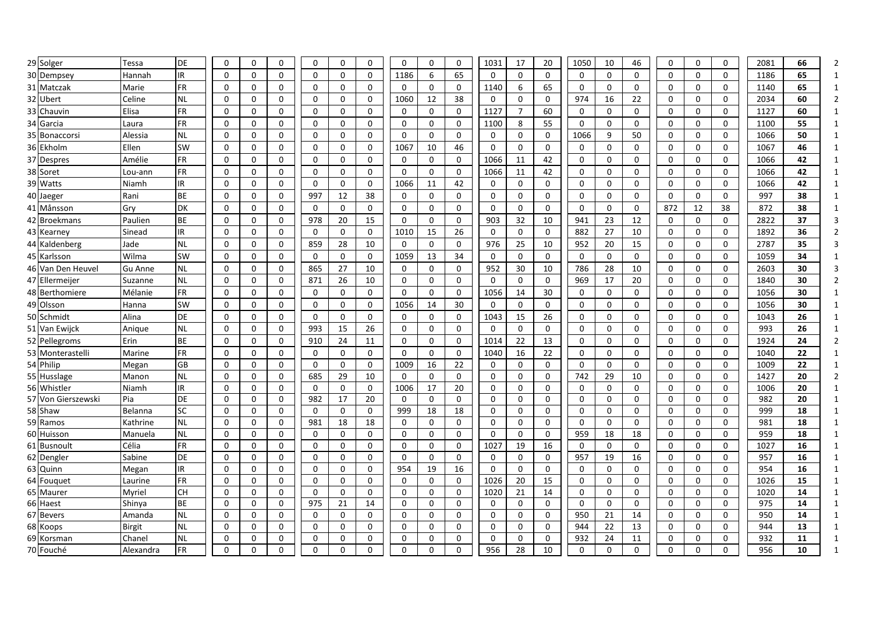| 29 Solger             | Tessa            | DE                     | $\mathbf 0$          | 0            | $\mathbf 0$      | 0             | 0           | $\mathbf 0$   | $\mathbf 0$      | $\mathbf 0$   | $\mathbf 0$      | 1031         | 17             | 20           | 1050        | 10                | 46          | $\mathbf 0$                | 0        | $\mathbf 0$                | 2081        | 66       |              |
|-----------------------|------------------|------------------------|----------------------|--------------|------------------|---------------|-------------|---------------|------------------|---------------|------------------|--------------|----------------|--------------|-------------|-------------------|-------------|----------------------------|----------|----------------------------|-------------|----------|--------------|
| 30 Dempsey            | Hannah           | IR                     | $\mathbf{0}$         | 0            | $\mathbf 0$      | 0             | 0           | $\mathbf 0$   | 1186             | 6             | 65               | 0            | 0              | $\mathbf 0$  | 0           | $\mathbf 0$       | 0           | 0                          | 0        | $\mathbf 0$                | 1186        | 65       |              |
| 31 Matczak            | Marie            | <b>FR</b>              | $\mathbf{0}$         | 0            | 0                | 0             | 0           | 0             | 0                | $\mathbf 0$   | 0                | 1140         | 6              | 65           | $\mathbf 0$ | $\mathbf 0$       | 0           | 0                          | 0        | $\mathbf 0$                | 1140        | 65       |              |
| 32 Ubert              | Celine           | <b>NL</b>              | $\mathbf{0}$         | 0            | 0                | 0             | 0           | $\mathbf{0}$  | 1060             | 12            | 38               | 0            | 0              | $\mathbf 0$  | 974         | 16                | 22          | $\mathbf 0$                | 0        | $\mathbf 0$                | 2034        | 60       | 2            |
| 33 Chauvin            | Elisa            | <b>FR</b>              | $\Omega$             | $\Omega$     | 0                | 0             | 0           | $\Omega$      | $\mathbf 0$      | $\mathbf 0$   | $\mathbf 0$      | 1127         | $\overline{7}$ | 60           | $\mathbf 0$ | $\mathbf 0$       | 0           | $\mathbf 0$                | 0        | $\mathbf 0$                | 1127        | 60       |              |
| 34 Garcia             | Laura            | FR                     | $\mathbf 0$          | 0            | 0                | 0             | 0           | $\mathbf 0$   | 0                | $\mathbf 0$   | 0                | 1100         | 8              | 55           | $\mathbf 0$ | 0                 | 0           | $\mathbf 0$                | 0        | 0                          | 1100        | 55       |              |
| 35 Bonaccorsi         | Alessia          | <b>NL</b>              | 0                    | 0            | 0                | 0             | 0           | 0             | 0                | 0             | 0                | 0            | 0              | 0            | 1066        | 9                 | 50          | 0                          | 0        | 0                          | 1066        | 50       |              |
| 36 Ekholm             | Ellen            | <b>SW</b>              | $\mathbf{0}$         | 0            | 0                | 0             | 0           | 0             | 1067             | 10            | 46               | 0            | $\mathbf{0}$   | 0            | 0           | $\mathbf{0}$      | 0           | $\Omega$                   | 0        | 0                          | 1067        | 46       |              |
| 37 Despres            | Amélie           | <b>FR</b>              | $\Omega$             | 0            | 0                | $\Omega$      | 0           | $\mathbf{0}$  | 0                | $\mathbf 0$   | 0                | 1066         | 11             | 42           | $\Omega$    | $\Omega$          | 0           | $\mathbf 0$                | 0        | $\mathbf 0$                | 1066        | 42       | 1            |
| 38 Soret              | Lou-ann          | <b>FR</b>              | $\Omega$             | $\Omega$     | $\Omega$         | $\Omega$      | $\Omega$    | $\Omega$      | $\mathbf 0$      | $\mathbf 0$   | $\Omega$         | 1066         | 11             | 42           | $\Omega$    | $\Omega$          | 0           | $\mathbf 0$                | $\Omega$ | $\Omega$                   | 1066        | 42       | 1            |
| 39 Watts              | Niamh            | IR                     | $\mathbf 0$          | 0            | 0                | 0             | 0           | $\mathbf 0$   | 1066             | 11            | 42               | 0            | 0              | 0            | 0           | 0                 | 0           | 0                          | 0        | $\mathbf 0$                | 1066        | 42       |              |
| 40 Jaeger             | Rani             | BE                     | $\mathbf{0}$         | 0            | 0                | 997           | 12          | 38            | 0                | 0             | 0                | 0            | 0              | 0            | 0           | 0                 | 0           | 0                          | 0        | 0                          | 997         | 38       |              |
| 41 Månsson            | Gry              | DK                     | $\Omega$             | 0            | 0                | 0             | 0           | $\mathbf{0}$  | 0                | $\mathbf 0$   | $\mathbf 0$      | 0            | $\Omega$       | $\mathbf 0$  | $\Omega$    | $\Omega$          | 0           | 872                        | 12       | 38                         | 872         | 38       |              |
| 42 Broekmans          | Paulien          | <b>BE</b>              | $\mathbf 0$          | 0            | 0                | 978           | 20          | 15            | 0                | $\mathbf 0$   | 0                | 903          | 32             | 10           | 941         | 23                | 12          | 0                          | 0        | $\mathbf 0$                | 2822        | 37       |              |
| 43 Kearney            | Sinead           | IR.                    | $\Omega$             | 0            | $\mathbf 0$      | $\mathbf 0$   | $\mathbf 0$ | $\mathbf 0$   | 1010             | 15            | 26               | $\mathbf 0$  | 0              | $\mathbf 0$  | 882         | 27                | 10          | $\mathbf 0$                | 0        | $\mathbf 0$                | 1892        | 36       |              |
| 44 Kaldenberg         | Jade             | <b>NL</b>              | $\Omega$             | $\Omega$     | 0                | 859           | 28          | 10            | $\mathbf{0}$     | $\Omega$      | $\mathbf{0}$     | 976          | 25             | 10           | 952         | 20                | 15          | 0                          | $\Omega$ | 0                          | 2787        | 35       |              |
| 45 Karlsson           | Wilma            | SW                     | 0                    | 0            | 0                | 0             | 0           | 0             | 1059             | 13            | 34               | 0            | 0              | $\mathbf{0}$ | 0           | 0                 | 0           | 0                          | 0        | 0                          | 1059        | 34       |              |
| 46 Van Den Heuvel     | Gu Anne          | <b>NL</b>              | $\mathbf{0}$         | 0            | 0                | 865           | 27          | 10            | 0                | 0             | 0                | 952          | 30             | 10           | 786         | 28                | 10          | 0                          | 0        | 0                          | 2603        | 30       |              |
| 47 Ellermeijer        | Suzanne          | <b>NL</b>              | $\Omega$             | $\mathbf 0$  | 0                | 871           | 26          | 10            | $\mathbf 0$      | $\mathbf 0$   | $\mathbf 0$      | 0            | 0              | $\mathbf 0$  | 969         | 17                | 20          | $\mathbf 0$                | 0        | 0                          | 1840        | 30       | 2            |
| 48 Berthomiere        | Mélanie          | <b>FR</b>              | $\Omega$             | 0            | 0                | 0             | 0           | $\mathbf 0$   | $\mathbf 0$      | 0             | 0                | 1056         | 14             | 30           | 0           | $\mathbf 0$       | 0           | $\mathbf 0$                | 0        | 0                          | 1056        | 30       |              |
| 49 Olsson             | Hanna            | <b>SW</b>              | $\Omega$             | $\Omega$     | $\mathbf 0$      | $\Omega$      | 0           | $\Omega$      | 1056             | 14            | 30               | $\mathbf{0}$ | 0              | $\mathbf 0$  | $\Omega$    | $\Omega$          | 0           | $\mathbf 0$                | $\Omega$ | $\mathbf 0$                | 1056        | 30       |              |
| 50 Schmidt            | Alina            | <b>DE</b>              | $\mathbf 0$          | 0            | $\mathbf 0$      | 0             | $\mathbf 0$ | $\mathbf 0$   | $\mathbf 0$      | $\mathbf 0$   | $\mathbf 0$      | 1043         | 15             | 26           | 0           | $\mathbf 0$       | 0           | $\mathbf 0$                | 0        | $\mathbf 0$                | 1043        | 26       |              |
| 51 Van Ewijck         | Anique           | <b>NL</b>              | $\mathbf{0}$         | 0            | 0                | 993           | 15          | 26            | 0                | 0             | 0                | 0            | 0              | 0            | 0           | 0                 | 0           | 0                          | 0        | 0                          | 993         | 26       |              |
| 52 Pellegroms         | Erin             | <b>BE</b>              | $\mathbf 0$          | $\mathbf 0$  | $\mathbf 0$      | 910           | 24          | 11            | $\mathbf 0$      | $\mathbf 0$   | $\mathbf 0$      | 1014         | 22             | 13           | 0           | 0                 | 0           | $\mathbf 0$                | 0        | 0                          | 1924        | 24       | 2            |
| 53 Monterastelli      | Marine           | <b>FR</b>              | $\mathbf 0$          | 0            | 0                | 0             | 0           | 0             | 0                | 0             | 0                | 1040         | 16             | 22           | 0           | 0                 | 0           | 0                          | 0        | 0                          | 1040        | 22       |              |
| 54 Philip             | Megan            | <b>GB</b>              | $\Omega$             | $\mathbf 0$  | $\mathbf 0$      | 0             | 0           | $\mathbf 0$   | 1009             | 16            | 22               | 0            | 0              | $\mathbf 0$  | $\mathbf 0$ | $\Omega$          | 0           | $\mathbf 0$                | 0        | 0                          | 1009        | 22       |              |
| 55 Husslage           | Manon            | <b>NL</b>              | $\Omega$             | 0            | $\mathbf 0$      | 685           | 29          | 10            | 0                | $\Omega$      | $\mathbf 0$      | 0            | $\Omega$       | $\mathbf 0$  | 742         | 29                | 10          | 0                          | 0        | $\mathbf 0$                | 1427        | 20       |              |
| 56 Whistler           | Niamh            | IR                     | $\Omega$             | 0            | 0                | $\Omega$      | 0           | $\mathbf 0$   | 1006             | 17            | 20               | 0            | 0              | 0            | 0           | $\mathbf{0}$      | 0           | 0                          | 0        | 0                          | 1006        | 20       | $\mathbf{1}$ |
| 57 Von Gierszewski    | Pia              | DE                     | $\mathbf 0$          | 0            | 0                | 982           | 17          | 20            | $\mathbf 0$      | $\mathbf 0$   | $\mathbf 0$      | $\mathbf 0$  | $\mathbf 0$    | 0            | 0           | 0                 | 0           | $\mathbf 0$                | 0        | $\mathbf 0$                | 982         | 20       |              |
| 58 Shaw               | Belanna          | SC                     | $\mathbf{0}$         | 0            | 0                | $\Omega$      | 0           | 0             | 999              | 18            | 18               | 0            | 0              | 0            | 0           | 0                 | 0           | 0                          | 0        | 0                          | 999         | 18       |              |
| 59 Ramos              | Kathrine         | <b>NL</b>              | $\Omega$             | 0            | 0                | 981           | 18          | 18            | 0                | $\mathbf 0$   | $\mathbf 0$      | $\mathbf 0$  | 0              | $\mathbf 0$  | 0           | $\mathbf 0$       | 0           | $\mathbf 0$                | 0        | $\mathbf 0$                | 981         | 18       |              |
| 60 Huisson            | Manuela          | <b>NL</b>              | $\Omega$             | 0            | $\mathbf 0$      | 0             | 0           | $\mathbf{0}$  | $\mathbf 0$      | $\mathbf 0$   | 0                | 0            | 0              | $\mathbf 0$  | 959         | 18                | 18          | $\mathbf 0$                | 0        | $\mathbf 0$                | 959         | 18       |              |
| 61 Busnoult           | Célia            | <b>FR</b>              | $\mathbf{0}$         | 0            | 0                | 0             | 0           | 0             | 0                | 0             | 0                | 1027         | 19             | 16           | 0           | 0                 | 0           | 0                          | 0        | 0                          | 1027        | 16       |              |
| 62 Dengler            | Sabine           | DE                     | $\mathbf{0}$         | $\mathbf{0}$ | 0                | $\Omega$      | 0           | $\Omega$      | 0                | $\Omega$      | 0                | 0            | 0              | 0            | 957         | 19                | 16          | 0                          | 0        | $\mathbf{0}$               | 957         | 16       |              |
| 63 Quinn              | Megan            | <b>IR</b>              | $\mathbf{0}$         | 0            | 0                | 0             | 0           | 0             | 954              | 19            | 16               | $\mathbf{0}$ | $\mathbf{0}$   | $\mathbf 0$  | 0           | $\mathbf{0}$      | 0           | $\mathbf{0}$               | 0        | $\mathbf{0}$               | 954         | 16       |              |
| 64 Fouguet            | Laurine          | <b>FR</b><br><b>CH</b> | $\Omega$<br>$\Omega$ | 0            | 0                | 0<br>$\Omega$ | $\mathbf 0$ | 0<br>$\Omega$ | 0<br>$\mathbf 0$ | 0             | 0                | 1026<br>1020 | 20             | 15<br>14     | 0<br>0      | $\mathbf 0$       | 0<br>0      | $\mathbf 0$<br>$\mathbf 0$ | 0        | $\mathbf 0$<br>$\mathbf 0$ | 1026        | 15       |              |
| 65 Maurer<br>66 Haest | Myriel<br>Shinya | <b>BE</b>              | $\Omega$             | 0<br>0       | 0<br>$\mathbf 0$ | 975           | 0<br>21     | 14            | 0                | 0<br>$\Omega$ | 0<br>$\mathbf 0$ | 0            | 21<br>$\Omega$ | $\mathbf 0$  | $\Omega$    | 0<br>$\mathbf{0}$ | 0           | 0                          | 0<br>0   | $\mathbf 0$                | 1020<br>975 | 14<br>14 |              |
| 67 Bevers             | Amanda           | <b>NL</b>              | $\mathbf 0$          | 0            | 0                | 0             | 0           | 0             | 0                | 0             | 0                | 0            | 0              | 0            | 950         | 21                | 14          | 0                          | 0        | 0                          | 950         | 14       |              |
| 68 Koops              | Birgit           | <b>NL</b>              | 0                    | 0            | 0                | 0             | 0           | 0             | 0                | 0             | 0                | 0            | 0              | 0            | 944         | 22                | 13          | 0                          | 0        | 0                          | 944         | 13       |              |
| 69 Korsman            | Chane            | <b>NL</b>              | 0                    | 0            | 0                | 0             | 0           | 0             | $\mathbf 0$      | $\mathbf 0$   | 0                | 0            | 0              | 0            | 932         | 24                | 11          | 0                          | 0        | 0                          | 932         | 11       |              |
| 70 Fouché             | Alexandra        | FR                     | $\Omega$             | $\Omega$     | 0                | 0             | 0           | $\Omega$      | $\mathbf 0$      | $\Omega$      | 0                | 956          | 28             | 10           | 0           | $\Omega$          | $\mathbf 0$ | $\mathbf 0$                | 0        | 0                          | 956         | 10       |              |
|                       |                  |                        |                      |              |                  |               |             |               |                  |               |                  |              |                |              |             |                   |             |                            |          |                            |             |          |              |